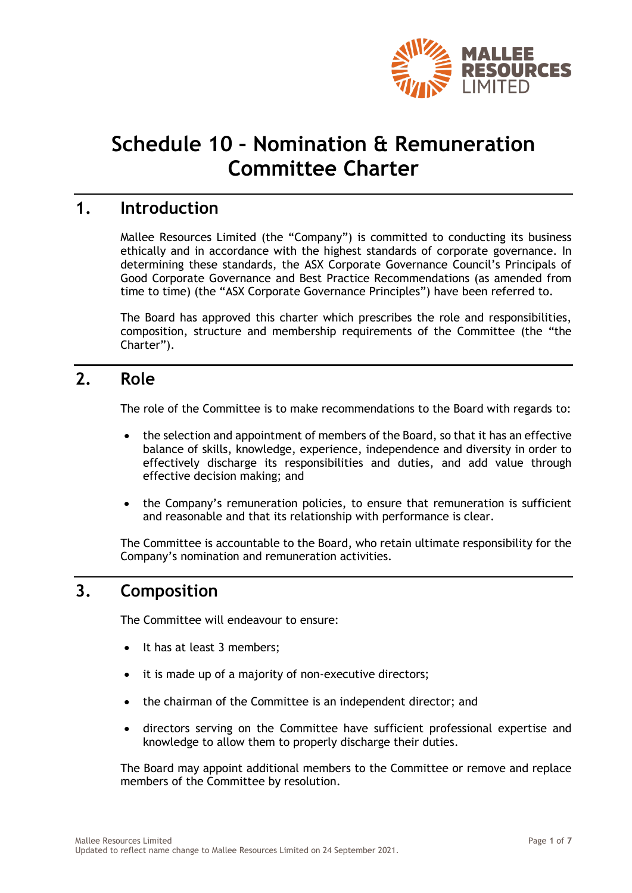

# **Schedule 10 – Nomination & Remuneration Committee Charter**

### **1. Introduction**

Mallee Resources Limited (the "Company") is committed to conducting its business ethically and in accordance with the highest standards of corporate governance. In determining these standards, the ASX Corporate Governance Council's Principals of Good Corporate Governance and Best Practice Recommendations (as amended from time to time) (the "ASX Corporate Governance Principles") have been referred to.

The Board has approved this charter which prescribes the role and responsibilities, composition, structure and membership requirements of the Committee (the "the Charter").

### **2. Role**

The role of the Committee is to make recommendations to the Board with regards to:

- the selection and appointment of members of the Board, so that it has an effective balance of skills, knowledge, experience, independence and diversity in order to effectively discharge its responsibilities and duties, and add value through effective decision making; and
- the Company's remuneration policies, to ensure that remuneration is sufficient and reasonable and that its relationship with performance is clear.

The Committee is accountable to the Board, who retain ultimate responsibility for the Company's nomination and remuneration activities.

# **3. Composition**

The Committee will endeavour to ensure:

- It has at least 3 members;
- it is made up of a majority of non-executive directors;
- the chairman of the Committee is an independent director; and
- directors serving on the Committee have sufficient professional expertise and knowledge to allow them to properly discharge their duties.

The Board may appoint additional members to the Committee or remove and replace members of the Committee by resolution.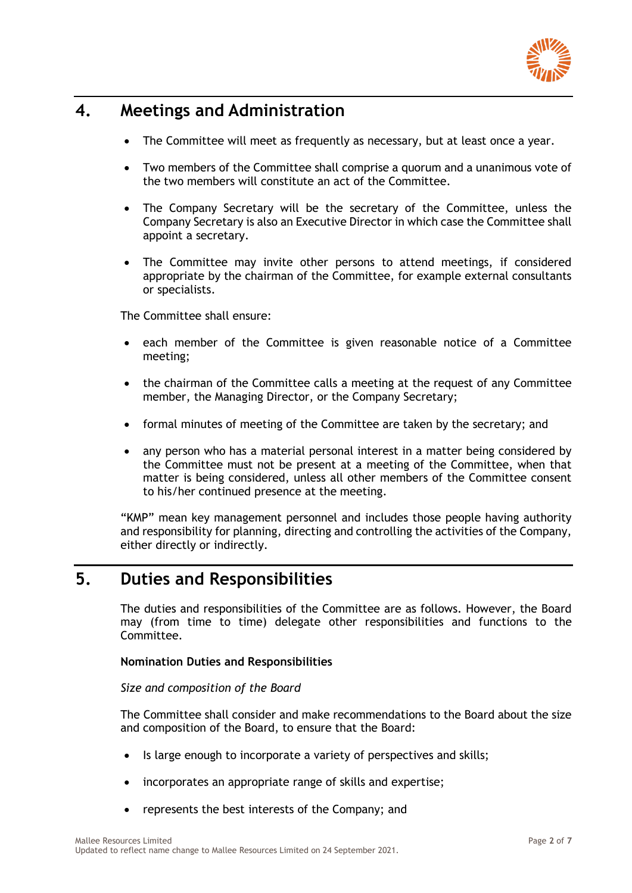

# **4. Meetings and Administration**

- The Committee will meet as frequently as necessary, but at least once a year.
- Two members of the Committee shall comprise a quorum and a unanimous vote of the two members will constitute an act of the Committee.
- The Company Secretary will be the secretary of the Committee, unless the Company Secretary is also an Executive Director in which case the Committee shall appoint a secretary.
- The Committee may invite other persons to attend meetings, if considered appropriate by the chairman of the Committee, for example external consultants or specialists.

The Committee shall ensure:

- each member of the Committee is given reasonable notice of a Committee meeting;
- the chairman of the Committee calls a meeting at the request of any Committee member, the Managing Director, or the Company Secretary;
- formal minutes of meeting of the Committee are taken by the secretary; and
- any person who has a material personal interest in a matter being considered by the Committee must not be present at a meeting of the Committee, when that matter is being considered, unless all other members of the Committee consent to his/her continued presence at the meeting.

"KMP" mean key management personnel and includes those people having authority and responsibility for planning, directing and controlling the activities of the Company, either directly or indirectly.

## **5. Duties and Responsibilities**

The duties and responsibilities of the Committee are as follows. However, the Board may (from time to time) delegate other responsibilities and functions to the Committee.

**Nomination Duties and Responsibilities**

#### *Size and composition of the Board*

The Committee shall consider and make recommendations to the Board about the size and composition of the Board, to ensure that the Board:

- Is large enough to incorporate a variety of perspectives and skills;
- incorporates an appropriate range of skills and expertise;
- represents the best interests of the Company; and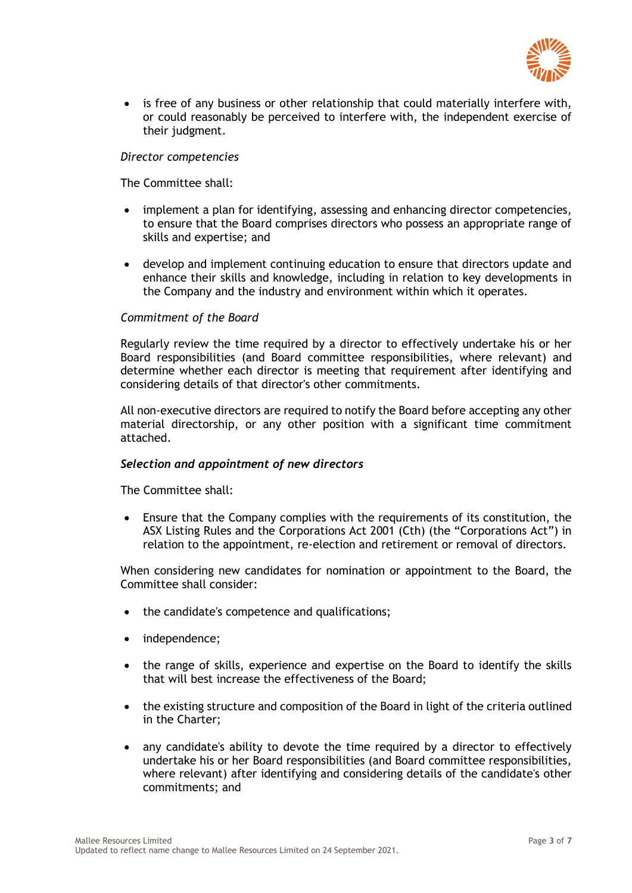

• is free of any business or other relationship that could materially interfere with, or could reasonably be perceived to interfere with, the independent exercise of their judgment.

#### *Director competencies*

The Committee shall:

- implement a plan for identifying, assessing and enhancing director competencies, to ensure that the Board comprises directors who possess an appropriate range of skills and expertise; and
- develop and implement continuing education to ensure that directors update and enhance their skills and knowledge, including in relation to key developments in the Company and the industry and environment within which it operates.

#### *Commitment of the Board*

Regularly review the time required by a director to effectively undertake his or her Board responsibilities (and Board committee responsibilities, where relevant) and determine whether each director is meeting that requirement after identifying and considering details of that director's other commitments.

All non-executive directors are required to notify the Board before accepting any other material directorship, or any other position with a significant time commitment attached.

#### *Selection and appointment of new directors*

The Committee shall:

• Ensure that the Company complies with the requirements of its constitution, the ASX Listing Rules and the Corporations Act 2001 (Cth) (the "Corporations Act") in relation to the appointment, re-election and retirement or removal of directors.

When considering new candidates for nomination or appointment to the Board, the Committee shall consider:

- the candidate's competence and qualifications;
- independence;
- the range of skills, experience and expertise on the Board to identify the skills that will best increase the effectiveness of the Board;
- the existing structure and composition of the Board in light of the criteria outlined in the Charter;
- any candidate's ability to devote the time required by a director to effectively undertake his or her Board responsibilities (and Board committee responsibilities, where relevant) after identifying and considering details of the candidate's other commitments; and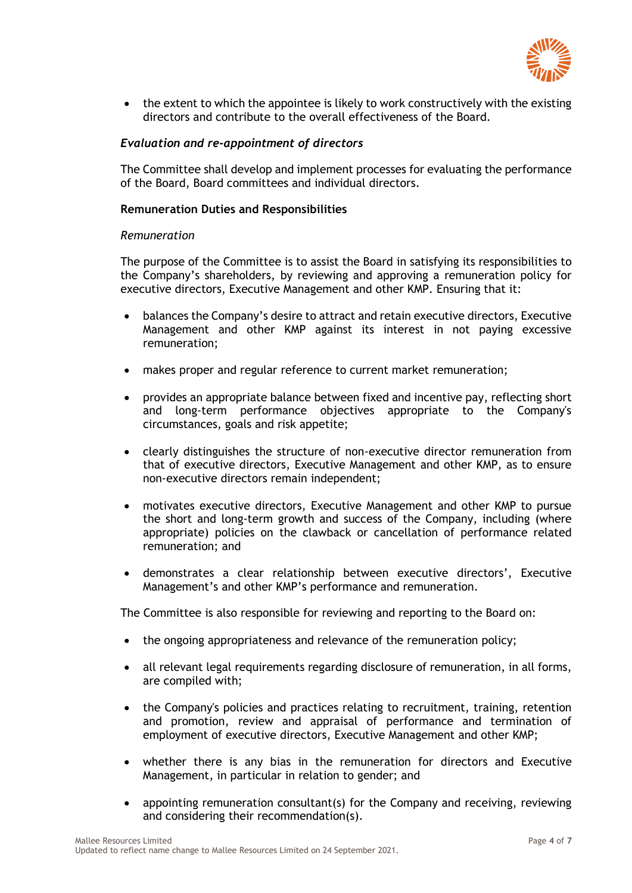

• the extent to which the appointee is likely to work constructively with the existing directors and contribute to the overall effectiveness of the Board.

#### *Evaluation and re-appointment of directors*

The Committee shall develop and implement processes for evaluating the performance of the Board, Board committees and individual directors.

#### **Remuneration Duties and Responsibilities**

#### *Remuneration*

The purpose of the Committee is to assist the Board in satisfying its responsibilities to the Company's shareholders, by reviewing and approving a remuneration policy for executive directors, Executive Management and other KMP. Ensuring that it:

- balances the Company's desire to attract and retain executive directors, Executive Management and other KMP against its interest in not paying excessive remuneration;
- makes proper and regular reference to current market remuneration;
- provides an appropriate balance between fixed and incentive pay, reflecting short and long-term performance objectives appropriate to the Company's circumstances, goals and risk appetite;
- clearly distinguishes the structure of non-executive director remuneration from that of executive directors, Executive Management and other KMP, as to ensure non-executive directors remain independent;
- motivates executive directors, Executive Management and other KMP to pursue the short and long-term growth and success of the Company, including (where appropriate) policies on the clawback or cancellation of performance related remuneration; and
- demonstrates a clear relationship between executive directors', Executive Management's and other KMP's performance and remuneration.

The Committee is also responsible for reviewing and reporting to the Board on:

- the ongoing appropriateness and relevance of the remuneration policy;
- all relevant legal requirements regarding disclosure of remuneration, in all forms, are compiled with;
- the Company's policies and practices relating to recruitment, training, retention and promotion, review and appraisal of performance and termination of employment of executive directors, Executive Management and other KMP;
- whether there is any bias in the remuneration for directors and Executive Management, in particular in relation to gender; and
- appointing remuneration consultant(s) for the Company and receiving, reviewing and considering their recommendation(s).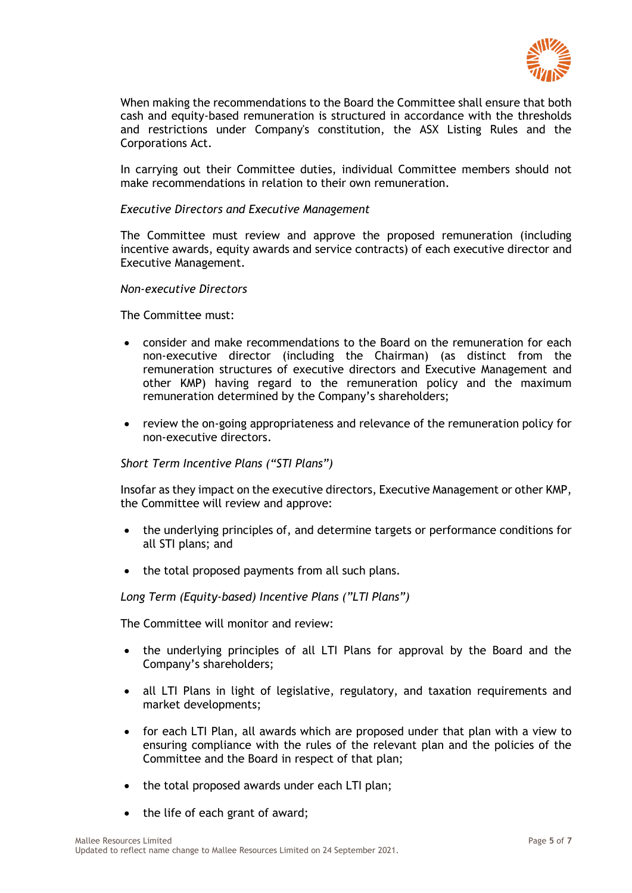

When making the recommendations to the Board the Committee shall ensure that both cash and equity-based remuneration is structured in accordance with the thresholds and restrictions under Company's constitution, the ASX Listing Rules and the Corporations Act.

In carrying out their Committee duties, individual Committee members should not make recommendations in relation to their own remuneration

#### *Executive Directors and Executive Management*

The Committee must review and approve the proposed remuneration (including incentive awards, equity awards and service contracts) of each executive director and Executive Management.

#### *Non-executive Directors*

The Committee must:

- consider and make recommendations to the Board on the remuneration for each non-executive director (including the Chairman) (as distinct from the remuneration structures of executive directors and Executive Management and other KMP) having regard to the remuneration policy and the maximum remuneration determined by the Company's shareholders;
- review the on-going appropriateness and relevance of the remuneration policy for non-executive directors.

#### *Short Term Incentive Plans ("STI Plans")*

Insofar as they impact on the executive directors, Executive Management or other KMP, the Committee will review and approve:

- the underlying principles of, and determine targets or performance conditions for all STI plans; and
- the total proposed payments from all such plans.

*Long Term (Equity-based) Incentive Plans ("LTI Plans")*

The Committee will monitor and review:

- the underlying principles of all LTI Plans for approval by the Board and the Company's shareholders;
- all LTI Plans in light of legislative, regulatory, and taxation requirements and market developments;
- for each LTI Plan, all awards which are proposed under that plan with a view to ensuring compliance with the rules of the relevant plan and the policies of the Committee and the Board in respect of that plan;
- the total proposed awards under each LTI plan;
- the life of each grant of award;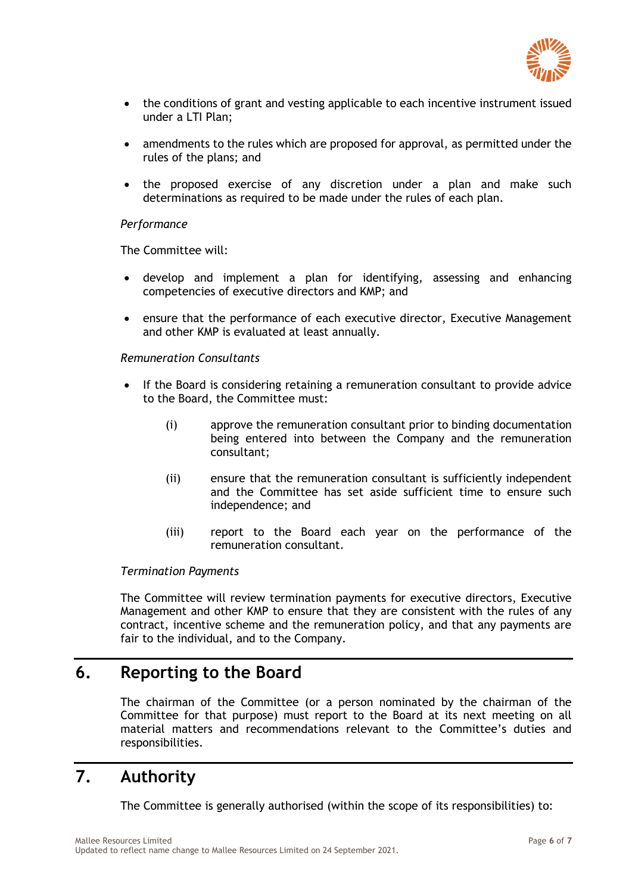

- the conditions of grant and vesting applicable to each incentive instrument issued under a LTI Plan;
- amendments to the rules which are proposed for approval, as permitted under the rules of the plans; and
- the proposed exercise of any discretion under a plan and make such determinations as required to be made under the rules of each plan.

#### *Performance*

The Committee will:

- develop and implement a plan for identifying, assessing and enhancing competencies of executive directors and KMP; and
- ensure that the performance of each executive director, Executive Management and other KMP is evaluated at least annually.

#### *Remuneration Consultants*

- If the Board is considering retaining a remuneration consultant to provide advice to the Board, the Committee must:
	- (i) approve the remuneration consultant prior to binding documentation being entered into between the Company and the remuneration consultant;
	- (ii) ensure that the remuneration consultant is sufficiently independent and the Committee has set aside sufficient time to ensure such independence; and
	- (iii) report to the Board each year on the performance of the remuneration consultant.

#### *Termination Payments*

The Committee will review termination payments for executive directors, Executive Management and other KMP to ensure that they are consistent with the rules of any contract, incentive scheme and the remuneration policy, and that any payments are fair to the individual, and to the Company.

### **6. Reporting to the Board**

The chairman of the Committee (or a person nominated by the chairman of the Committee for that purpose) must report to the Board at its next meeting on all material matters and recommendations relevant to the Committee's duties and responsibilities.

# **7. Authority**

The Committee is generally authorised (within the scope of its responsibilities) to: